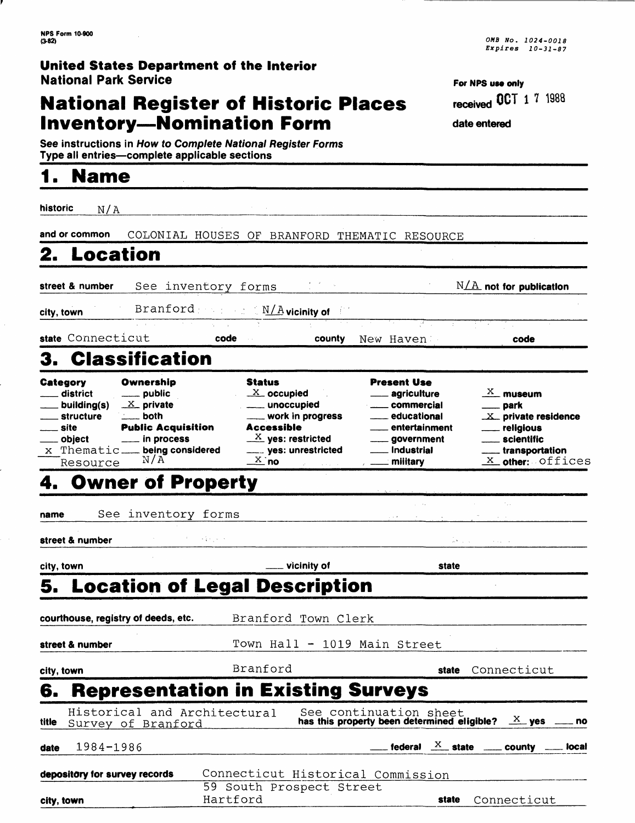# **National Register of Historic Places Inventory-Nomination Form**

**See instructions in How to Complete National Register Forms** Type all entries—complete applicable sections

# **1. Name**

historic  $N/A$ **and or common** COLONIAL HOUSES OF BRANFORD THEMATIC RESOURCE **2. Location street & number See inventory forms N/A** not for publication **city, town** Branford **N/A** vicinity of **state** Connecticut **code county** New Haven **code** 3. Classification **Category** district \_\_ building(s) \_\_ structure site object x Thematic **being considered** Resource **Ownership** public  $X$  private both Public Acquisition in process Status  $X$  occupied unoccupied work in progress Accessible  $\frac{X}{X}$  yes: restricted ... yes: unrestricted  $X$  no Present Use **4. Owner of Property**

**name** See inventory forms

**street & number** 计算机分析

**city, town**

| Connecticut                                                     |
|-----------------------------------------------------------------|
|                                                                 |
| has this property been determined eligible? $X = Y$ yes $X = 0$ |
| rederal $\frac{X}{X}$ state _____ county ____ local             |
|                                                                 |
| Connecticut                                                     |
|                                                                 |

**For NPS use only received 0CT 1 7 1988** 

> $\frac{X}{X}$  museum \_\_ park

state **Connecticut** 

 $X$  private residence religious scientific \_\_ transportation  $X$  other: Offices

**date entered**

agriculture commercial educational entertainment government **Industrial** military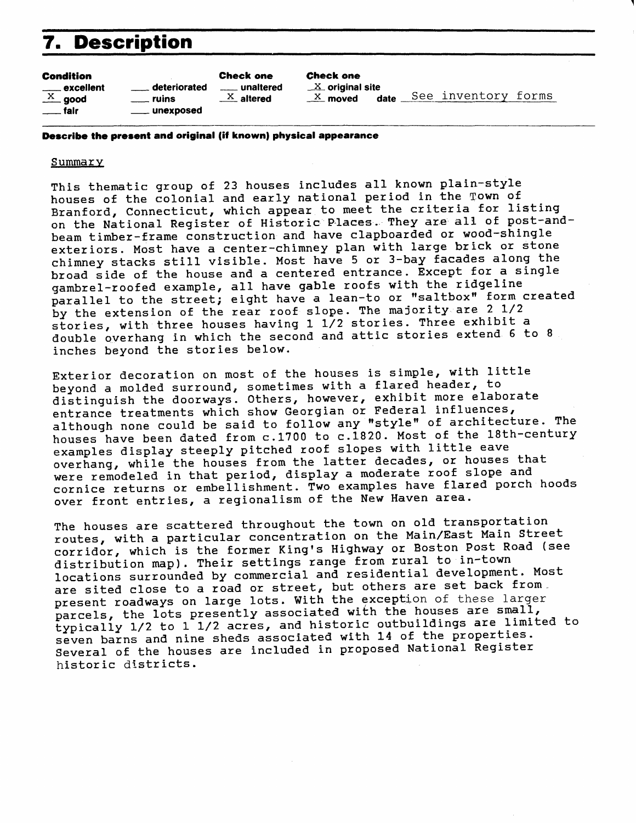# **7. Description**

### Condition

|                           | <u>__</u> __ excellent |
|---------------------------|------------------------|
|                           | $\frac{X}{X}$ good     |
| $\rule{1em}{0.15mm}$ fair |                        |

deteriorated ruins unexposed Check one unaltered  $\mathbf{x}$  altered

### Check one

 $X$  original site x moved date See inventory forms

**Describe the present and original (if known) physical appearance**

### **Summary**

This thematic group of 23 houses includes all known plain-style houses of the colonial and early national period in the Town of Branford, Connecticut, which appear to meet the criteria for listing on the National Register of Historic Places. They are all of post-andbeam timber-frame construction and have clapboarded or wood-shingle exteriors. Most have a center-chimney plan with large brick or stone chimney stacks still visible. Most have 5 or 3-bay facades along the broad side of the house and a centered entrance. Except for a single gambrel-roofed example, all have gable roofs with the ridgeline parallel to the street; eight have a lean-to or "saltbox" form created by the extension of the rear roof slope. The majority are 2 1/2 stories, with three houses having  $1\ 1/2$  stories. Three exhibit a double overhang in which the second and attic stories extend 6 to 8 inches beyond the stories below.

Exterior decoration on most of the houses is simple, with little beyond a molded surround, sometimes with a flared header, to distinguish the doorways. Others, however, exhibit more elaborate entrance treatments which show Georgian or Federal influences, although none could be said to follow any "style" of architecture. The houses have been dated from c.1700 to c.1820. Most of the 18th-century examples display steeply pitched roof slopes with little eave overhang, while the houses from the latter decades, or houses that were remodeled in that period, display a moderate roof slope and cornice returns or embellishment. Two examples have flared porch hoods over front entries, a regionalism of the New Haven area.

The houses are scattered throughout the town on old transportation routes, with a particular concentration on the Main/East Main Street corridor, which is the former King's Highway or Boston Post Road (see distribution map). Their settings range from rural to in-town locations surrounded by commercial and residential development. Most are sited close to a road or street, but others are set back from. present roadways on large lots. With the exception of these larger parcels, the lots presently associated with the houses are small, typically 1/2 to 1 1/2 acres, and historic outbuildings are limited to seven barns and nine sheds associated with 14 of the properties. Several of the houses are included in proposed National Register historic districts.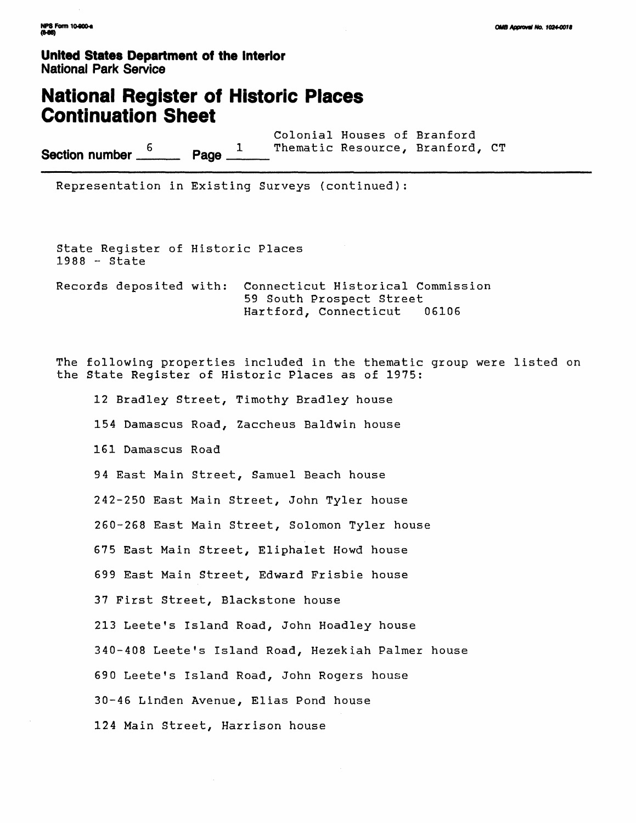### **National Register of Historic Places Continuation Sheet**

Colonial Houses of Branford **Section number**  $\frac{6}{2}$  **Page**  $\frac{1}{2}$  Thematic Resource, Branford, CT

Representation in Existing Surveys (continued):

State Register of Historic Places 1988 - State Records deposited with: Connecticut Historical Commission 59 South Prospect Street Hartford, Connecticut 06106

The following properties included in the thematic group were listed on the State Register of Historic Places as of 1975:

12 Bradley Street, Timothy Bradley house 154 Damascus Road, Zaccheus Baldwin house 161 Damascus Road 94 East Main Street, Samuel Beach house 242-250 East Main Street, John Tyler house 260-268 East Main Street, Solomon Tyler house 675 East Main Street, Eliphalet Howd house 699 East Main Street, Edward Frisbie house 37 First Street, Blackstone house 213 Leete's Island Road, John Hoadley house 340-408 Leete's Island Road, Hezekiah Palmer house 690 Leete's Island Road, John Rogers house 30-46 Linden Avenue, Elias Pond house 124 Main Street, Harrison house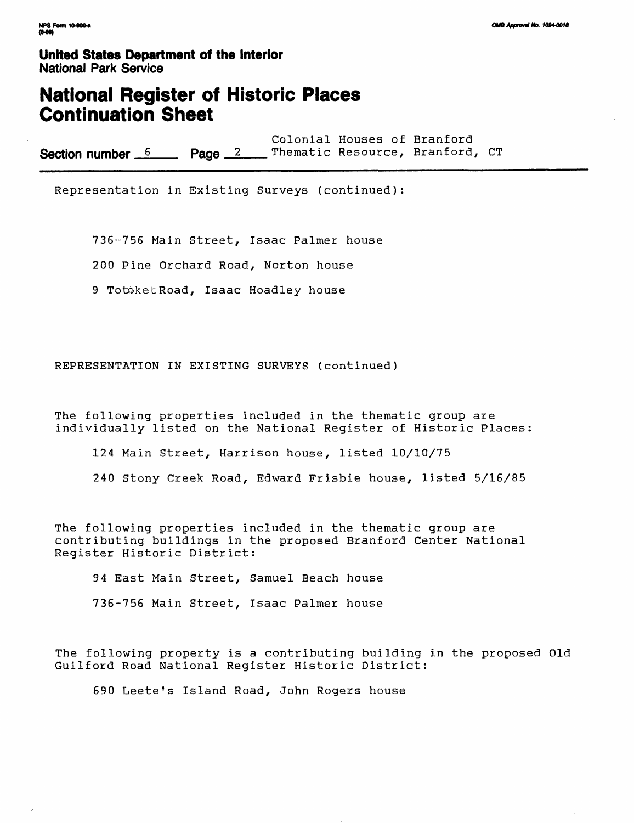### **National Register of Historic Places Continuation Sheet**

Colonial Houses of Branford Section number 6 Page <sup>2</sup>

Representation in Existing Surveys (continued):

736-756 Main Street, Isaac Palmer house 200 Pine Orchard Road, Norton house 9 Totoket Road, Isaac Hoadley house

REPRESENTATION IN EXISTING SURVEYS (continued)

The following properties included in the thematic group are individually listed on the National Register of Historic Places:

124 Main Street, Harrison house, listed 10/10/75

240 Stony Creek Road, Edward Frisbie house, listed 5/16/85

The following properties included in the thematic group are contributing buildings in the proposed Branford Center National Register Historic District:

94 East Main Street, Samuel Beach house 736-756 Main Street, Isaac Palmer house

The following property is a contributing building in the proposed Old Guilford Road National Register Historic District:

690 Leete's Island Road, John Rogers house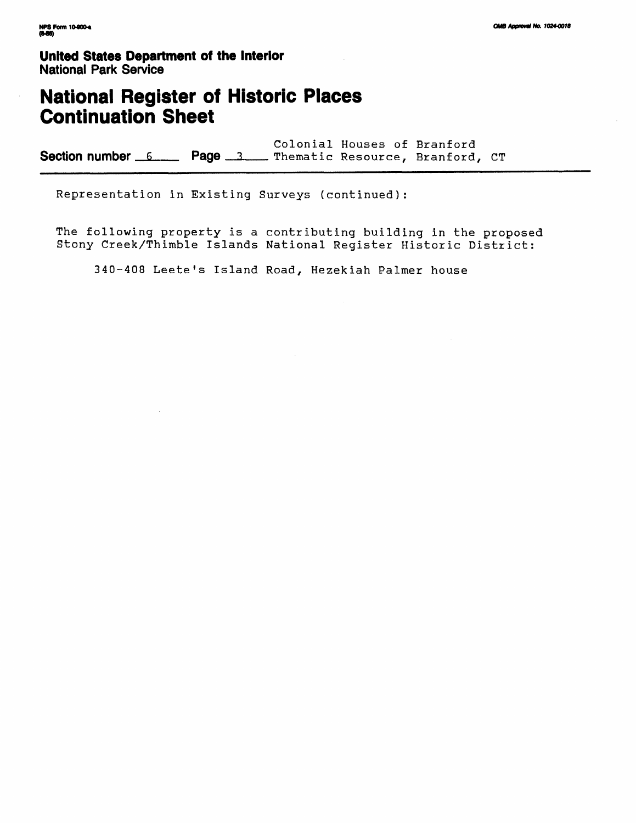# **National Register of Historic Places Continuation Sheet**

Colonial Houses of Branford Section number 6 Page 3 Thematic Resource, Branford, CT

Representation in Existing Surveys (continued):

The following property is a contributing building in the proposed Stony Creek/Thimble Islands National Register Historic District:

340-408 Leete's Island Road, Hezekiah Palmer house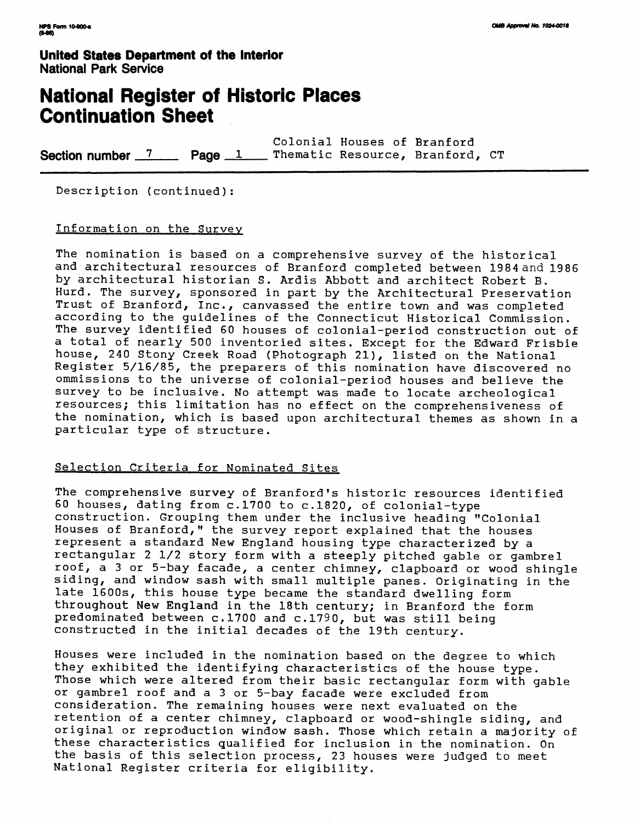# **National Register of Historic Places Continuation Sheet**

Colonial Houses of Branford **Section number 7 Page 1 Thematic Resource, Branford, CT** 

Description (continued):

### Information on the Survey

The nomination is based on a comprehensive survey of the historical and architectural resources of Branford completed between 1984 and 1986 by architectural historian S. Ardis Abbott and architect Robert B. Hurd. The survey, sponsored in part by the Architectural Preservation Trust of Branford, Inc., canvassed the entire town and was completed according to the guidelines of the Connecticut Historical Commission. The survey identified 60 houses of colonial-period construction out of a total of nearly 500 inventoried sites. Except for the Edward Frisbie house, 240 Stony Creek Road (Photograph 21), listed on the National Register 5/16/85, the preparers of this nomination have discovered no ommissions to the universe of colonial-period houses and believe the survey to be inclusive. No attempt was made to locate archeological resources; this limitation has no effect on the comprehensiveness of the nomination, which is based upon architectural themes as shown in a particular type of structure.

### Selection Criteria for Nominated Sites

The comprehensive survey of Branford's historic resources identified 60 houses, dating from c.1700 to c.1820, of colonial-type construction. Grouping them under the inclusive heading "Colonial Houses of Branford," the survey report explained that the houses represent a standard New England housing type characterized by a rectangular 2 1/2 story form with a steeply pitched gable or gambrel roof, a 3 or 5-bay facade, a center chimney, clapboard or wood shingle siding, and window sash with small multiple panes. Originating in the late 1600s, this house type became the standard dwelling form throughout New England in the 18th century; in Branford the form predominated between c.1700 and c.1790, but was still being constructed in the initial decades of the 19th century.

Houses were included in the nomination based on the degree to which they exhibited the identifying characteristics of the house type. Those which were altered from their basic rectangular form with gable or gambrel roof and a 3 or 5-bay facade were excluded from consideration. The remaining houses were next evaluated on the retention of a center chimney, clapboard or wood-shingle siding, and original or reproduction window sash. Those which retain a majority of these characteristics qualified for inclusion in the nomination. On the basis of this selection process, 23 houses were judged to meet National Register criteria for eligibility.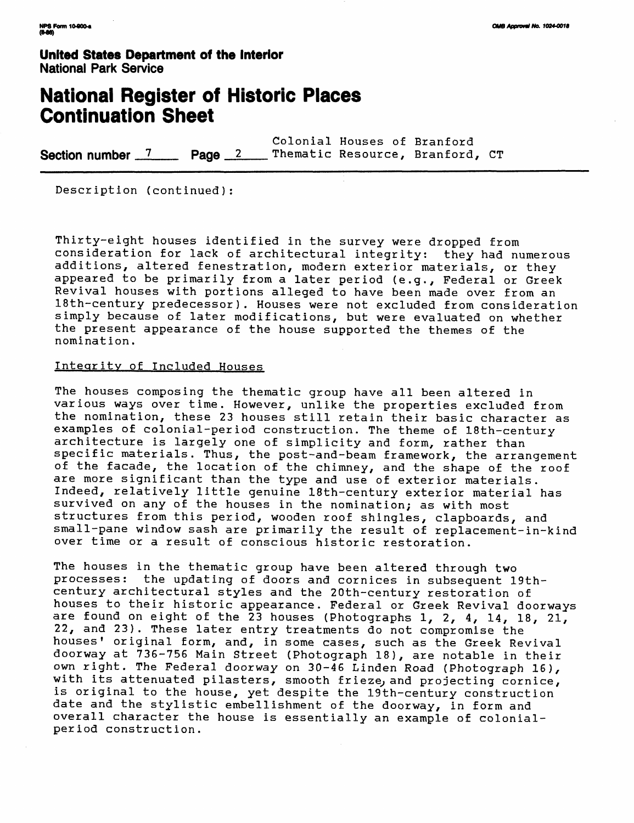# **National Register of Historic Places Continuation Sheet**

Colonial Houses of Branford **Section number 7 Page 2 Thematic Resource, Branford, CT** 

Description (continued):

Thirty-eight houses identified in the survey were dropped from consideration for lack of architectural integrity: they had numerous additions, altered fenestration, modern exterior materials, or they appeared to be primarily from a later period (e.g., Federal or Greek Revival houses with portions alleged to have been made over from an 18th-century predecessor). Houses were not excluded from consideration simply because of later modifications, but were evaluated on whether the present appearance of the house supported the themes of the nomination.

### Integrity of Included Houses

The houses composing the thematic group have all been altered in various ways over time. However, unlike the properties excluded from the nomination, these 23 houses still retain their basic character as examples of colonial-period construction. The theme of 18th-century architecture is largely one of simplicity and form, rather than specific materials. Thus, the post~and-beam framework, the arrangement of the facade, the location of the chimney, and the shape of the roof are more significant than the type and use of exterior materials. Indeed, relatively little genuine 18th-century exterior material has survived on any of the houses in the nomination; as with most structures from this period, wooden roof shingles, clapboards, and small-pane window sash are primarily the result of replacement-in-kind over time or a result of conscious historic restoration.

The houses in the thematic group have been altered through two processes: the updating of doors and cornices in subsequent 19thcentury architectural styles and the 20th-century restoration of houses to their historic appearance. Federal or Greek Revival doorways are found on eight of the 23 houses (Photographs 1, 2, 4, 14, 18, 21, 22, and 23). These later entry treatments do not compromise the houses' original form, and, in some cases, such as the Greek Revival doorway at 736-756 Main Street (Photograph 18), are notable in their own right. The Federal doorway on 30-46 Linden Road (Photograph 16), with its attenuated pilasters, smooth frieze, and projecting cornice, is original to the house, yet despite the 19th-century construction date and the stylistic embellishment of the doorway, in form and overall character the house is essentially an example of colonialperiod construction.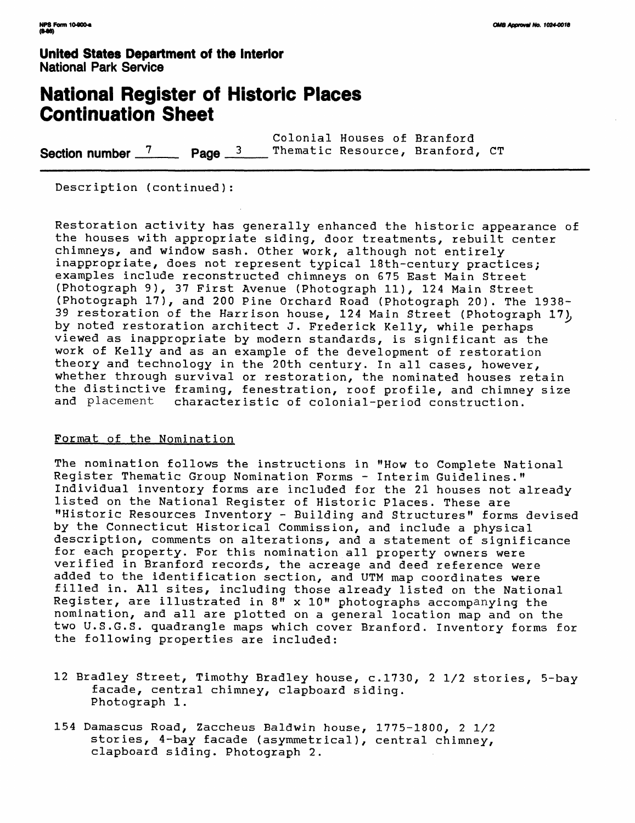# **National Register of Historic Places Continuation Sheet**

Colonial Houses of Branford Section number <sup>7</sup><sub>n</sub> Page <sup>3</sup>

Description (continued):

Restoration activity has generally enhanced the historic appearance of the houses with appropriate siding, door treatments, rebuilt center chimneys, and window sash. Other work, although not entirely inappropriate, does not represent typical 18th-century practices; examples include reconstructed chimneys on 675 East Main Street (Photograph 9), 37 First Avenue (Photograph 11), 124 Main Street (Photograph 17), and 200 Pine Orchard Road (Photograph 20). The 1938- 39 restoration of the Harrison house, 124 Main Street (Photograph 17), by noted restoration architect J. Frederick Kelly, while perhaps viewed as inappropriate by modern standards, is significant as the work of Kelly and as an example of the development of restoration theory and technology in the 20th century. In all cases, however, whether through survival or restoration, the nominated houses retain the distinctive framing, fenestration, roof profile, and chimney size<br>and placement characteristic of colonial-period construction. characteristic of colonial-period construction.

### Format of the Nomination

The nomination follows the instructions in "How to Complete National Register Thematic Group Nomination Forms - Interim Guidelines." Individual inventory forms are included for the 21 houses not already listed on the National Register of Historic Places. These are "Historic Resources Inventory - Building and Structures" forms devised by the Connecticut Historical Commission, and include a physical description, comments on alterations, and a statement of significance for each property. For this nomination all property owners were verified in Branford records, the acreage and deed reference were added to the identification section, and UTM map coordinates were filled in. All sites, including those already listed on the National Register, are illustrated in 8" x 10" photographs accompanying the nomination, and all are plotted on a general location map and on the two U.S.G.S. quadrangle maps which cover Branford. Inventory forms for the following properties are included:

- 12 Bradley Street, Timothy Bradley house, c.1730, 2 1/2 stories, 5-bay facade, central chimney, clapboard siding. Photograph 1.
- 154 Damascus Road, Zaccheus Baldwin house, 1775-1800, 2 1/2 stories, 4-bay facade (asymmetrical), central chimney, clapboard siding. Photograph 2.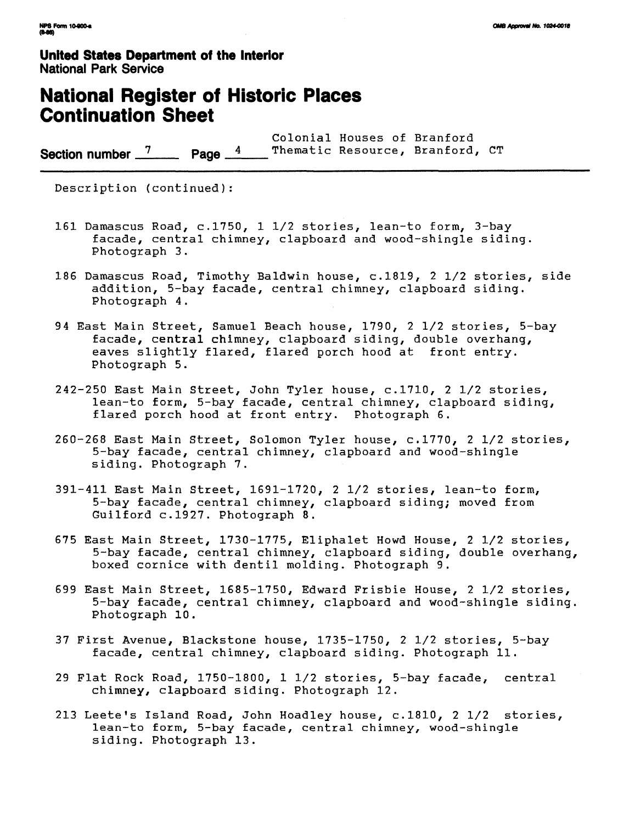# **National Register of Historic Places Continuation Sheet**

Colonial Houses of Branford Section number  $\frac{7}{2}$  Page  $\frac{4}{3}$ 

Description (continued):

- 161 Damascus Road, c.1750, 1 1/2 stories, lean-to form, 3-bay facade, central chimney, clapboard and wood-shingle siding. Photograph 3.
- 186 Damascus Road, Timothy Baldwin house, c.1819, 2 1/2 stories, side addition, 5-bay facade, central chimney, clapboard siding. Photograph 4.
- 94 East Main Street, Samuel Beach house, 1790, 2 1/2 stories, 5-bay facade, central chimney, clapboard siding, double overhang, eaves slightly flared, flared porch hood at front entry. Photograph 5.
- 242-250 East Main Street, John Tyler house, c.1710, 2 1/2 stories, lean-to form, 5-bay facade, central chimney, clapboard siding, flared porch hood at front entry. Photograph 6.
- 260-268 East Main Street, Solomon Tyler house, c.1770, 2 1/2 stories, 5-bay facade, central chimney, clapboard and wood-shingle siding. Photograph 7.
- 391-411 East Main Street, 1691-1720, 2 1/2 stories, lean-to form, 5-bay facade, central chimney, clapboard siding; moved from Guilford c.1927. Photograph 8.
- 675 East Main Street, 1730-1775, Eliphalet Howd House, 2 1/2 stories, 5-bay facade, central chimney, clapboard siding, double overhang, boxed cornice with dentil molding. Photograph 9.
- 699 East Main Street, 1685-1750, Edward Frisbie House, 2 1/2 stories, 5-bay facade, central chimney, clapboard and wood-shingle siding. Photograph 10.
- 37 First Avenue, Blackstone house, 1735-1750, 2 1/2 stories, 5-bay facade, central chimney, clapboard siding. Photograph 11.
- 29 Flat Rock Road, 1750-1800, 1 1/2 stories, 5-bay facade, central chimney, clapboard siding. Photograph 12.
- 213 Leete's Island Road, John Hoadley house, c.1810, 2 1/2 stories, lean-to form, 5-bay facade, central chimney, wood-shingle siding. Photograph 13.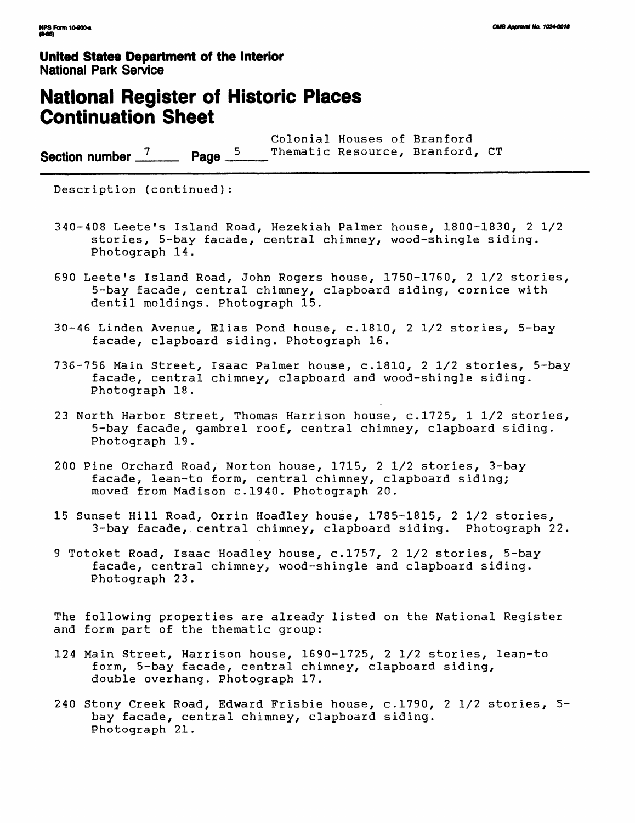# **National Register of Historic Places Continuation Sheet**

Colonial Houses of Branford **Section number** <sup>7</sup> Page <sup>5</sup> Thematic Resource, Branford, CT

Description (continued):

- 340-408 Leete's Island Road, Hezekiah Palmer house, 1800-1830, 2 1/2 stories, 5-bay facade, central chimney, wood-shingle siding. Photograph 14.
- 690 Leete's Island Road, John Rogers house, 1750-1760, 2 1/2 stories, 5-bay facade, central chimney, clapboard siding, cornice with dentil moldings. Photograph 15.
- 30-46 Linden Avenue, Elias Pond house, c.1810, 2 1/2 stories, 5-bay facade, clapboard siding. Photograph 16.
- 736-756 Main Street, Isaac Palmer house, c.1810, 2 1/2 stories, 5-bay facade, central chimney, clapboard and wood-shingle siding. Photograph 18.
- 23 North Harbor Street, Thomas Harrison house, c.1725, 1 1/2 stories, 5-bay facade, gambrel roof, central chimney, clapboard siding. Photograph 19.
- 200 Pine Orchard Road, Norton house, 1715, 2 1/2 stories, 3-bay facade, lean-to form, central chimney, clapboard siding; moved from Madison c.1940. Photograph 20.
- 15 Sunset Hill Road, Orrin Hoadley house, 1785-1815, 2 1/2 stories, 3-bay facade, central chimney, clapboard siding. Photograph 22.
- 9 Totoket Road, Isaac Hoadley house, c.1757, 2 1/2 stories, 5-bay facade, central chimney, wood-shingle and clapboard siding. Photograph 23.

The following properties are already listed on the National Register and form part of the thematic group:

- 124 Main Street, Harrison house, 1690-1725, 2 1/2 stories, lean-to form, 5-bay facade, central chimney, clapboard siding, double overhang. Photograph 17.
- 240 Stony Creek Road, Edward Frisbie house, c.1790, 2 1/2 stories, 5 bay facade, central chimney, clapboard siding. Photograph 21.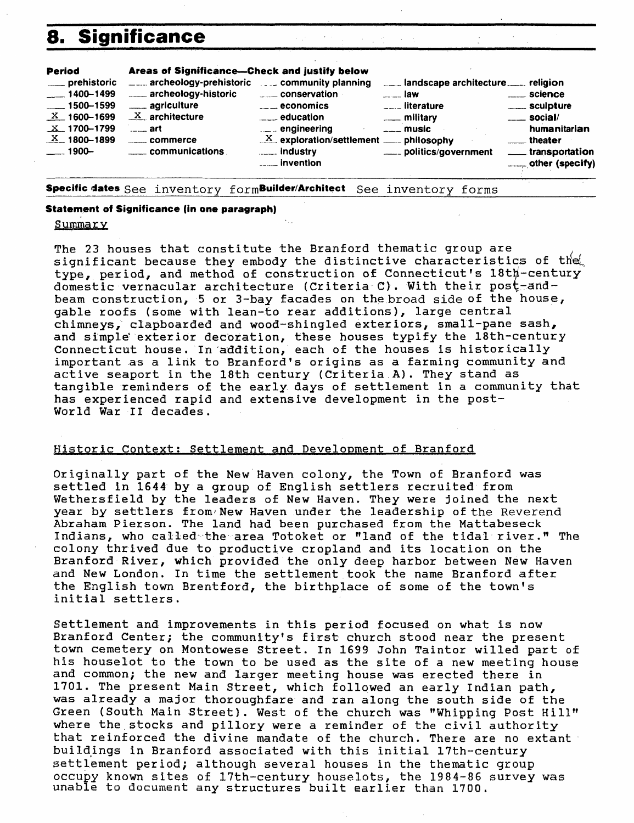# **8. Significance**



**Specific dates** See inventory formBuilder/Architect See inventory forms

#### **Statement of Significance (in one paragraph)**

#### Summary

The 23 houses that constitute the Branford thematic group are significant because they embody the distinctive characteristics of the type, period, and method of construction of Connecticut's 18th-century domestic vernacular architecture (Criteria C). With their post-andbeam construction, 5 or 3-bay facades on the broad side of the house, gable roofs (some with lean-to rear additions), large central chimneys, clapboarded and wood-shingled exteriors, small-pane sash, and simple exterior decoration, these houses typify the 18th-century Connecticut house. In addition, each of the houses is historically important as a link to Branford 's origins as a farming community and active seaport in the 18th century (Criteria A). They stand as tangible reminders of the early days of settlement in a community that has experienced rapid and extensive development in the post-World War II decades.

### Historic Context: Settlement and Development of Branford

Originally part of the New Haven colony, the Town of Branford was settled in 1644 by a group of English settlers recruited from Wethersfield by the leaders of New Haven. They were joined the next year by settlers from New Haven under the leadership of the Reverend Abraham Pierson. The land had been purchased from the Mattabeseck Indians, who called the area Totoket or "land of the tidal river." The colony thrived due to productive cropland and its location on the Branford River, which provided the only deep harbor between New Haven and New London. In time the settlement took the name Branford after the English town Brentford, the birthplace of some of the town's initial settlers.

Settlement and improvements in this period focused on what is now Branford Center; the community's first church stood near the present town cemetery on Montowese Street. In 1699 John Taintor willed part of his houselot to the town to be used as the site of a new meeting house and common; the new and larger meeting house was erected there in 1701. The present Main Street, which followed an early Indian path, was already a major thoroughfare and ran along the south side of the Green (South Main Street). West of the church was "Whipping Post Hill" where the stocks and pillory were a reminder of the civil authority that reinforced the divine mandate of the church. There are no extant buildings in Branford associated with this initial 17th-century settlement period; although several houses in the thematic group occupy known sites of 17th-century houselots, the 1984-86 survey was unable to document any structures built earlier than 1700.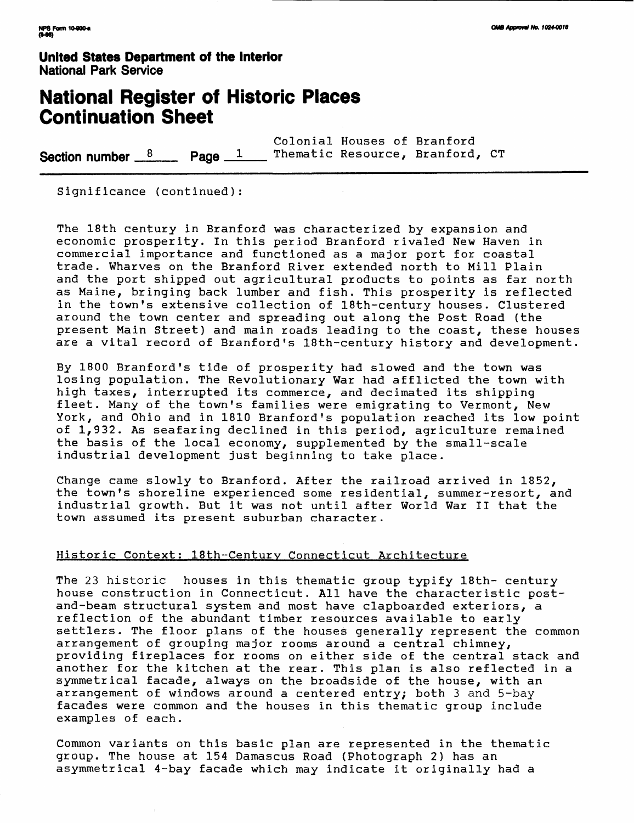# **National Register of Historic Places Continuation Sheet**

Colonial Houses of Branford **Section number**  $\frac{8}{2}$  **Page 1** Thematic Resource, Branford, CT

Significance (continued):

The 18th century in Branford was characterized by expansion and economic prosperity. In this period Branford rivaled New Haven in commercial importance and functioned as a major port for coastal trade. Wharves on the Branford River extended north to Mill Plain and the port shipped out agricultural products to points as far north as Maine, bringing back lumber and fish. This prosperity is reflected in the town's extensive collection of 18th-century houses. Clustered around the town center and spreading out along the Post Road (the present Main Street) and main roads leading to the coast, these houses are a vital record of Branford's 18th-century history and development.

By 1800 Branford's tide of prosperity had slowed and the town was losing population. The Revolutionary War had afflicted the town with high taxes, interrupted its commerce, and decimated its shipping fleet. Many of the town's families were emigrating to Vermont, New York, and Ohio and in 1810 Branford's population reached its low point of 1,932. As seafaring declined in this period, agriculture remained the basis of the local economy, supplemented by the small-scale industrial development just beginning to take place.

Change came slowly to Branford. After the railroad arrived in 1852, the town's shoreline experienced some residential, summer-resort, and industrial growth. But it was not until after World War II that the town assumed its present suburban character.

### Historic Context: 18th-century Connecticut Architecture

The 23 historic houses in this thematic group typify 18th- century house construction in Connecticut. All have the characteristic postand-beam structural system and most have clapboarded exteriors, a reflection of the abundant timber resources available to early settlers. The floor plans of the houses generally represent the common arrangement of grouping major rooms around a central chimney, providing fireplaces for rooms on either side of the central stack and another for the kitchen at the rear. This plan is also reflected in a symmetrical facade, always on the broadside of the house, with an arrangement of windows around a centered entry; both 3 and 5-bay facades were common and the houses in this thematic group include examples of each.

Common variants on this basic plan are represented in the thematic group. The house at 154 Damascus Road (Photograph 2) has an asymmetrical 4-bay facade which may indicate it originally had a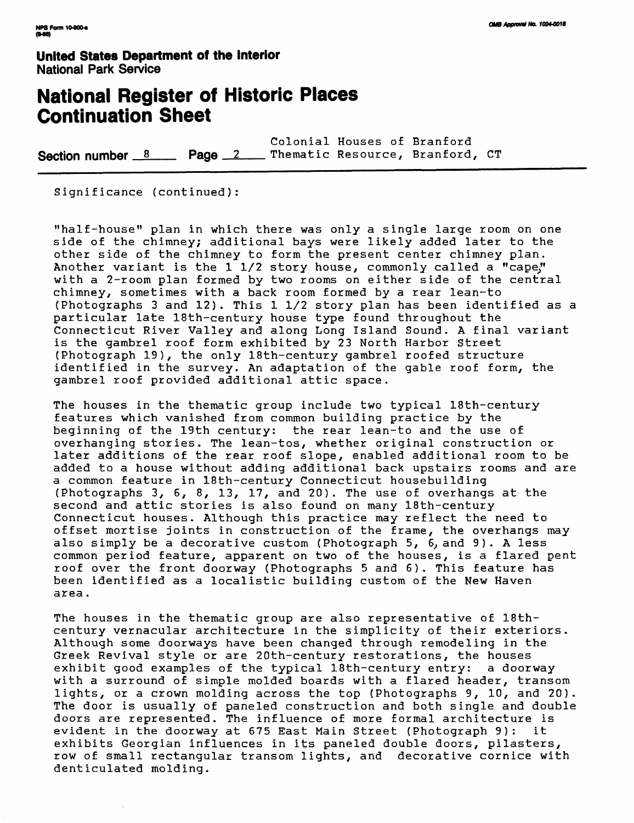# **National Register of Historic Places Continuation Sheet**

Colonial Houses of Branford Section number 8 Page 2 Thematic Resource, Branford, CT

Significance (continued):

"half-house" plan in which there was only a single large room on one side of the chimney; additional bays were likely added later to the other side of the chimney to form the present center chimney plan. Another variant is the 1 1/2 story house, commonly called a "cape," with a 2-room plan formed by two rooms on either side of the central chimney, sometimes with a back room formed by a rear lean-to (Photographs 3 and 12). This 1 1/2 story plan has been identified as a particular late 18th-century house type found throughout the Connecticut River Valley and along Long Island Sound. A final variant is the gambrel roof form exhibited by 23 North Harbor Street (Photograph 19), the only 18th-century gambrel roofed structure identified in the survey. An adaptation of the gable roof form, the gambrel roof provided additional attic space.

The houses in the thematic group include two typical 18th-century features which vanished from common building practice by the beginning of the 19th century: the rear lean-to and the use of overhanging stories. The lean-tos, whether original construction or later additions of the rear roof slope, enabled additional room to be added to a house without adding additional back upstairs rooms and are a common feature in 18th-century Connecticut housebuilding (Photographs 3, 6, 8, 13, 17, and 20). The use of overhangs at the second and attic stories is also found on many 18th-century Connecticut houses. Although this practice may reflect the need to offset mortise joints in construction of the frame, the overhangs may also simply be a decorative custom (Photograph 5, 6, and 9). A less common period feature, apparent on two of the houses, is a flared pent roof over the front doorway (Photographs 5 and 6). This feature has been identified as a localistic building custom of the New Haven area.

The houses in the thematic group are also representative of 18thcentury vernacular architecture in the simplicity of their exteriors. Although some doorways have been changed through remodeling in the Greek Revival style or are 20th-century restorations, the houses<br>exhibit good examples of the typical 18th-century entry: a doorway exhibit good examples of the typical  $18th$ -century entry: with a surround of simple molded boards with a flared header, transom lights, or a crown molding across the top (Photographs 9, 10, and 20). The door is usually of paneled construction and both single and double doors are represented. The influence of more formal architecture is evident in the doorway at 675 East Main Street (Photograph 9): it exhibits Georgian influences in its paneled double doors, pilasters, row of small rectangular transom lights, and decorative cornice with denticulated molding.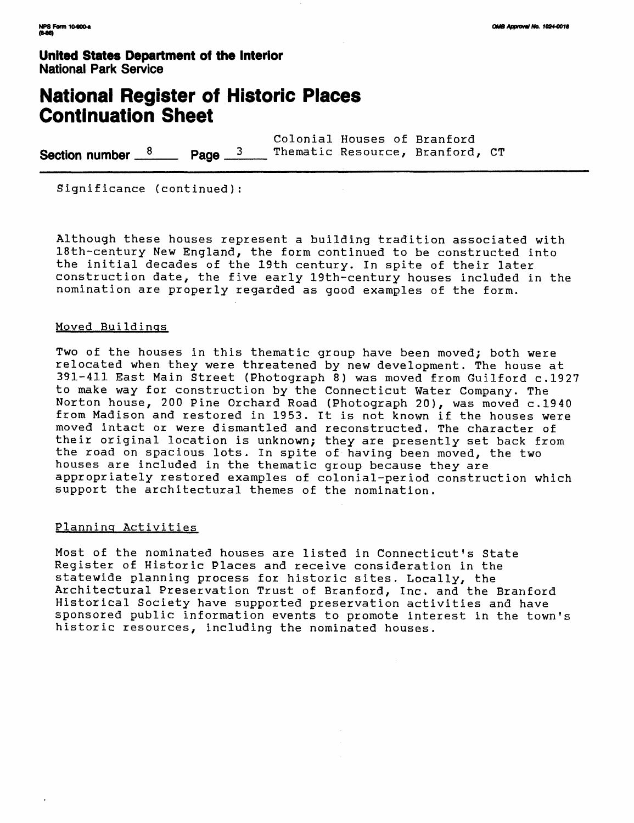# **National Register of Historic Places Continuation Sheet**

Colonial Houses of Branford Section number  $\frac{8}{2}$  Page  $\frac{3}{2}$  Thematic Resource, Branford, CT

Significance (continued):

Although these houses represent a building tradition associated with 18th-century New England, the form continued to be constructed into the initial decades of the 19th century. In spite of their later construction date, the five early 19th-century houses included in the nomination are properly regarded as good examples of the form.

#### Moved Buildings

Two of the houses in this thematic group have been moved; both were relocated when they were threatened by new development. The house at 391-411 East Main Street (Photograph 8) was moved from Guilford c.1927 to make way for construction by the Connecticut Water Company. The Norton house, 200 Pine Orchard Road (Photograph 20), was moved c.1940 from Madison and restored in 1953. It is not known if the houses were moved intact or were dismantled and reconstructed. The character of their original location is unknown; they are presently set back from the road on spacious lots. In spite of having been moved, the two houses are included in the thematic group because they are appropriately restored examples of colonial-period construction which support the architectural themes of the nomination.

### Planning Activities

Most of the nominated houses are listed in Connecticut's State Register of Historic Places and receive consideration in the statewide planning process for historic sites. Locally, the Architectural Preservation Trust of Branford, Inc. and the Branford Historical Society have supported preservation activities and have sponsored public information events to promote interest in the town's historic resources, including the nominated houses.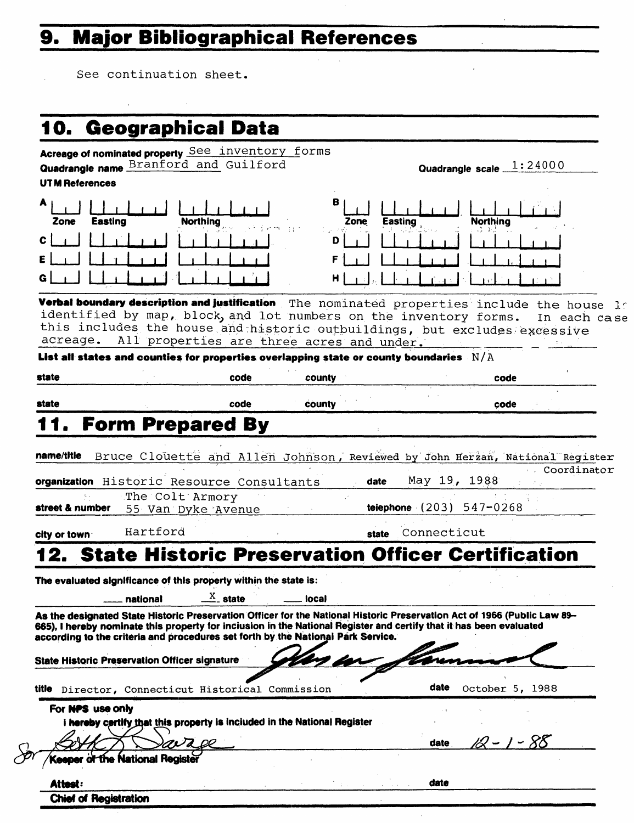# **9. Major Bibliographical References**

See continuation sheet.

i.

| Acreage of nominated property See inventory forms<br>Quadrangle name Branford and Guilford<br>Quadrangle scale $1:24000$<br>в<br><b>Easting</b><br><b>Northing</b><br>Zone<br>dia 11<br>Verbal boundary description and justification The nominated properties include the house le<br>identified by map, block, and lot numbers on the inventory forms.<br>In each case<br>this includes the house and historic outbuildings, but excludes excessive<br>All properties are three acres and under.<br>List all states and counties for properties overlapping state or county boundaries $N/A$<br>county<br>code<br>county<br>code<br>Bruce Clouette and Allen Johnson, Reviewed by John Herzan, National Register<br>Coordinator<br>May 19, 1988<br>organization Historic Resource Consultants<br>date<br>telephone $(203) 547 - 0268$<br>Connecticut<br>state<br><b>State Historic Preservation Officer Certification</b> |
|-----------------------------------------------------------------------------------------------------------------------------------------------------------------------------------------------------------------------------------------------------------------------------------------------------------------------------------------------------------------------------------------------------------------------------------------------------------------------------------------------------------------------------------------------------------------------------------------------------------------------------------------------------------------------------------------------------------------------------------------------------------------------------------------------------------------------------------------------------------------------------------------------------------------------------|
|                                                                                                                                                                                                                                                                                                                                                                                                                                                                                                                                                                                                                                                                                                                                                                                                                                                                                                                             |
|                                                                                                                                                                                                                                                                                                                                                                                                                                                                                                                                                                                                                                                                                                                                                                                                                                                                                                                             |
|                                                                                                                                                                                                                                                                                                                                                                                                                                                                                                                                                                                                                                                                                                                                                                                                                                                                                                                             |
|                                                                                                                                                                                                                                                                                                                                                                                                                                                                                                                                                                                                                                                                                                                                                                                                                                                                                                                             |
|                                                                                                                                                                                                                                                                                                                                                                                                                                                                                                                                                                                                                                                                                                                                                                                                                                                                                                                             |
|                                                                                                                                                                                                                                                                                                                                                                                                                                                                                                                                                                                                                                                                                                                                                                                                                                                                                                                             |
|                                                                                                                                                                                                                                                                                                                                                                                                                                                                                                                                                                                                                                                                                                                                                                                                                                                                                                                             |
|                                                                                                                                                                                                                                                                                                                                                                                                                                                                                                                                                                                                                                                                                                                                                                                                                                                                                                                             |
|                                                                                                                                                                                                                                                                                                                                                                                                                                                                                                                                                                                                                                                                                                                                                                                                                                                                                                                             |
|                                                                                                                                                                                                                                                                                                                                                                                                                                                                                                                                                                                                                                                                                                                                                                                                                                                                                                                             |
|                                                                                                                                                                                                                                                                                                                                                                                                                                                                                                                                                                                                                                                                                                                                                                                                                                                                                                                             |
|                                                                                                                                                                                                                                                                                                                                                                                                                                                                                                                                                                                                                                                                                                                                                                                                                                                                                                                             |
|                                                                                                                                                                                                                                                                                                                                                                                                                                                                                                                                                                                                                                                                                                                                                                                                                                                                                                                             |
|                                                                                                                                                                                                                                                                                                                                                                                                                                                                                                                                                                                                                                                                                                                                                                                                                                                                                                                             |
|                                                                                                                                                                                                                                                                                                                                                                                                                                                                                                                                                                                                                                                                                                                                                                                                                                                                                                                             |
|                                                                                                                                                                                                                                                                                                                                                                                                                                                                                                                                                                                                                                                                                                                                                                                                                                                                                                                             |
|                                                                                                                                                                                                                                                                                                                                                                                                                                                                                                                                                                                                                                                                                                                                                                                                                                                                                                                             |
|                                                                                                                                                                                                                                                                                                                                                                                                                                                                                                                                                                                                                                                                                                                                                                                                                                                                                                                             |
|                                                                                                                                                                                                                                                                                                                                                                                                                                                                                                                                                                                                                                                                                                                                                                                                                                                                                                                             |
| As the designated State Historic Preservation Officer for the National Historic Preservation Act of 1966 (Public Law 89-                                                                                                                                                                                                                                                                                                                                                                                                                                                                                                                                                                                                                                                                                                                                                                                                    |
| The evaluated significance of this property within the state is:<br>local<br>665). I hereby nominate this property for inclusion in the National Register and certify that it has been evaluated                                                                                                                                                                                                                                                                                                                                                                                                                                                                                                                                                                                                                                                                                                                            |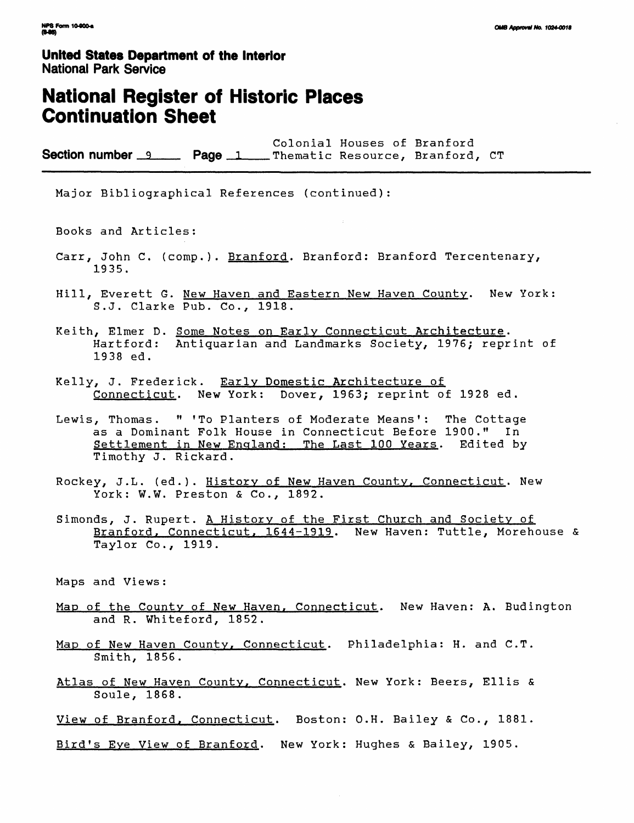### **National Register of Historic Places Continuation Sheet**

Colonial Houses of Branford Section number 9 Page 1 Thematic Resource, Branford, CT

Major Bibliographical References (continued):

Books and Articles:

- Carr, John C. (comp.). Branford. Branford: Branford Tercentenary, 1935.
- Hill, Everett G. New Haven and Eastern New Haven County. New York: S.J. Clarke Pub. Co., 1918.
- Keith, Elmer D. Some Notes on Early Connecticut Architecture. Hartford: Antiquarian and Landmarks Society, 1976; reprint of 1938 ed.
- Kelly, J. Frederick. Early Domestic Architecture of Connecticut. New York: Dover, 1963; reprint of 1928 ed.
- Lewis, Thomas. " 'To Planters of Moderate Means': The Cottage as a Dominant Folk House in Connecticut Before 1900." In Settlement in New England: The Last 100 Years. Edited by Timothy J. Rickard.
- Rockey, J.L. (ed.). History of New Haven County, Connecticut. New York: W.W. Preston & Co., 1892.
- Simonds, J. Rupert. A History of the First Church and Society of Branford, Connecticut, 1644-1919. New Haven: Tuttle, Morehouse & Taylor Co., 1919.

Maps and Views:

- Map of the County of New Haven, Connecticut. New Haven: A. Budington and R. Whiteford, 1852.
- Map of New Haven County, Connecticut. Philadelphia: H. and C.T. Smith, 1856.
- Atlas of New Haven County, Connecticut. New York: Beers, Ellis & Soule, 1868.
- View of Branford, Connecticut. Boston: O.H. Bailey & Co., 1881.
- Bird's Eve View of Branford. New York: Hughes & Bailey, 1905.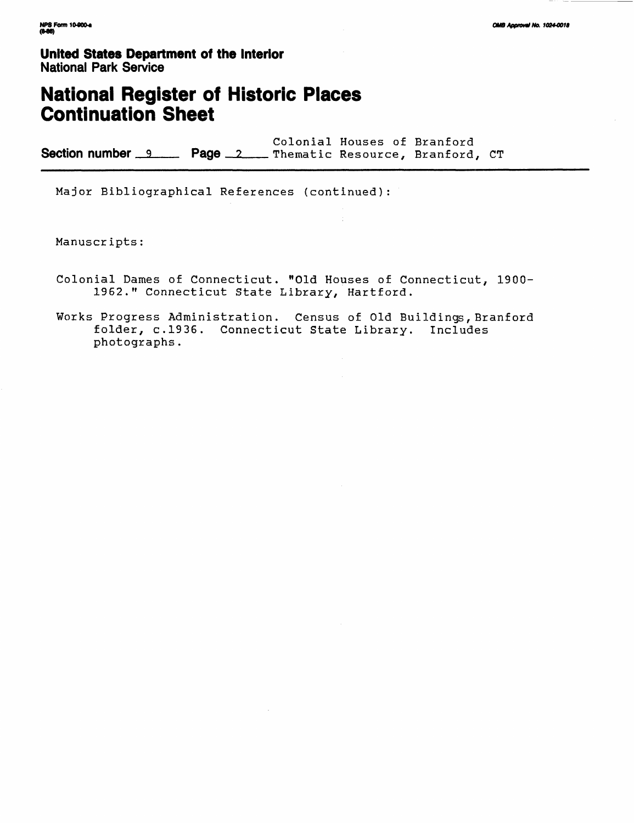# **National Register of Historic Places Continuation Sheet**

Colonial Houses of Branford Section number 9 Page 2 Thematic Resource, Branford, CT

Major Bibliographical References (continued):

Manuscripts:

- Colonial Dames of Connecticut. "Old Houses of Connecticut, 1900- 1962." Connecticut State Library, Hartford.
- Works Progress Administration. Census of Old Buildings, Branford folder, c.1936. Connecticut State Library. Includes photographs.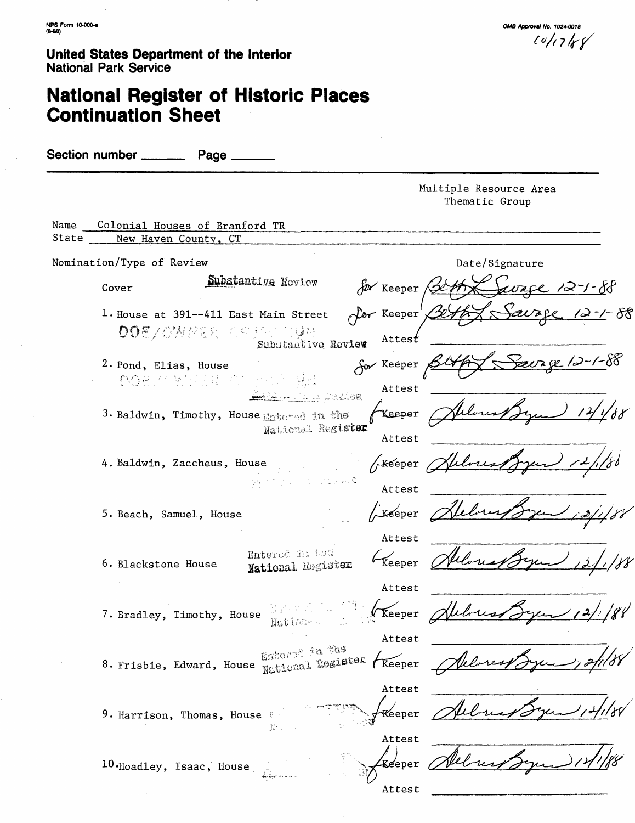**OMB Approval No. 1024-0018**  $10/17/8$ 

# **National Register of Historic Places Continuation Sheet**

Section number **Page** Multiple Resource Area Thematic Group Name Colonial Houses of Branford TR State \_\_\_\_ New Haven County, CT Nomination/Type of Review Date/Signature Date/Signature Substantive Review  $\sqrt{\nu}$  Keeper / vace 12-1-88 Cover 1. House at 391—411 East Main Street Keeper **DOE/OWER CRIST OWE** Attest for Keeper 2. Pond, Elias, House<br> $\bigcap_{i=1}^n \bigcap_{i=1}^n \bigcap_{i=1}^n \bigcap_{i=1}^n \bigcap_{i=1}^n \bigcap_{i=1}^n \bigcap_{i=1}^n \bigcap_{i=1}^n \bigcap_{i=1}^n \bigcap_{i=1}^n \bigcap_{i=1}^n \bigcap_{i=1}^n \bigcap_{i=1}^n \bigcap_{i=1}^n \bigcap_{i=1}^n \bigcap_{i=1}^n \bigcap_{i=1}^n \bigcap_{i=1}^n \bigcap_{i=1}^n \bigcap_{i=1}$ Attest e.Com .<br>Keeper 3. Baldwin, Timothy, House Entered in the National Register Attest GREEPER Albres 4. Baldwin, Zaccheus, House Martin Collage Attest Lkeeper 5. Beach, Samuel, House Attest Entered in the  $\epsilon_{\text{Keener}}$ Albert 6. Blackstone House National Register Attest Reeper Alchus 7. Bradley, Timothy, House  $\frac{1}{\text{Mult}(\mathbb{C})^n}$  : Attest 8. Frisbie, Edward, House Enterp<sup>a in the</sup> Keeper <u>2 fil</u> 88 Attest *Albert* Keeper 9. Harrison, Thomas, House  $\mathbf{E}$  . Attest bres .<br>Keeper 10. Hoadley, Isaac, House Attest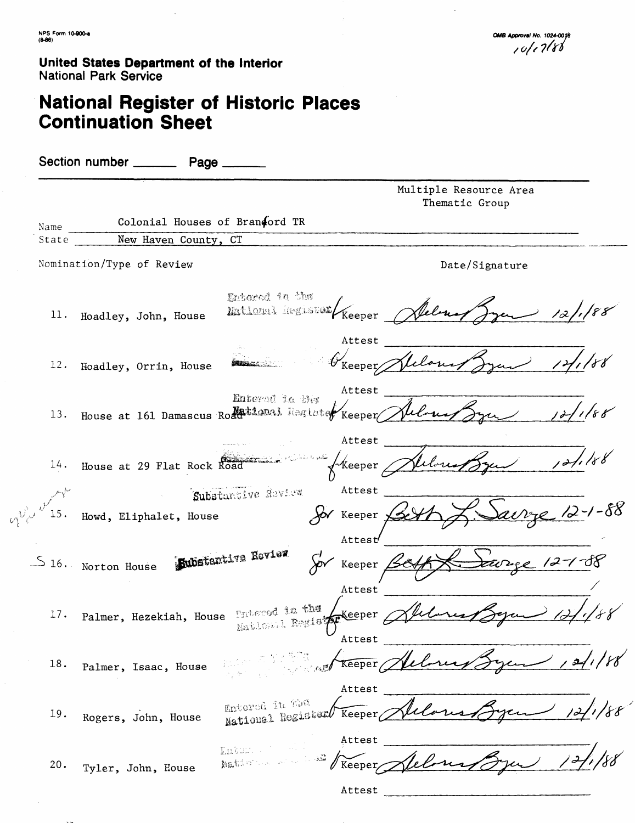# **National Register of Historic Places Continuation Sheet**

Section number \_\_\_\_\_\_\_\_\_\_ Page \_\_\_\_\_ Multiple Resource Area Thematic Group Colonial Houses of Brandord TR Name New Haven County, CT State Nomination/Type of Review Date/Signature Entered in the Mational Register Keeper 11. Hoadley, John, House Attest ∕<br>Keeper∕ 12. Hoadley, Orrin, House Attest Entered in the 13. House at 161 Damascus Romational Regists ∕<br>Keeper∕ Attest / Keeper  $14.$ House at 29 Flat Rock Substantive Review Attest Howd, Eliphalet, House Keeper y Attest **Kubstantive Review**  $\frac{16}{16}$ . Norton House Keeper<sub>4</sub> Attest 17. Palmer, Hezekiah, House Entered in the  $\sqrt{\text{Keeper}}$ Matlemal Regist Attest Helone 18. Palmer, Isaac, House Attest Entered in the **Keeper** سدسره 19 • Rogers, John, House Attest  $\overline{\mathrm{E}}\Omega\overline{\mathrm{E}}\mathrm{D}\mathbb{Z}$  . National -Keeper 20. Tyler, John, House Attest